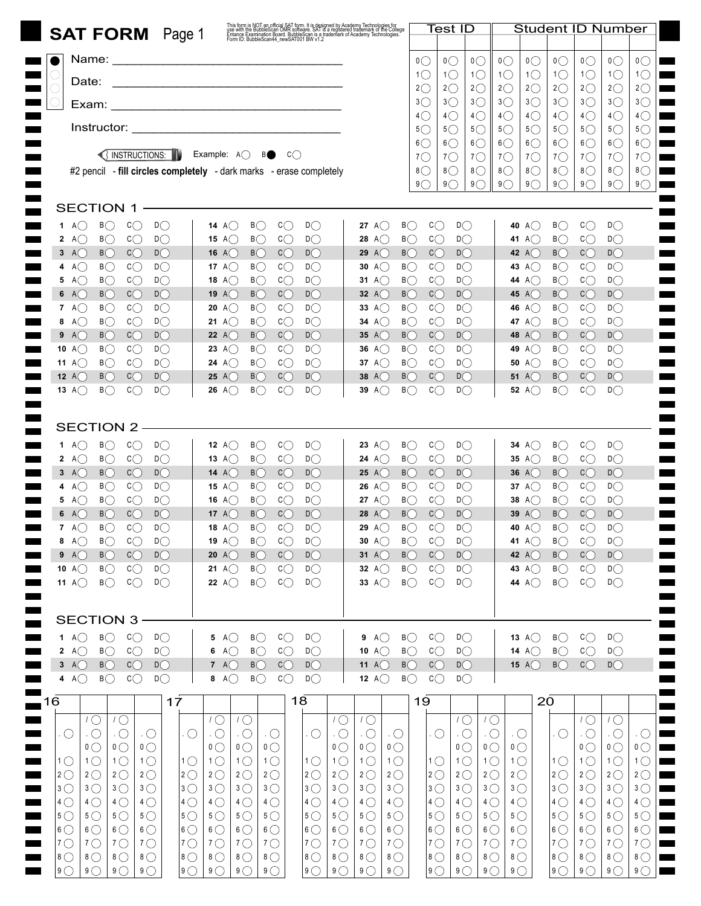| <b>SAT FORM</b> Page 1                                                                                                                                                                      | This form is NOT an official SAT form. It is designed by Academy Technologies for<br>use with the BubbleScan OMR software. SAT is a registered trademark of the College<br>Entance Examination Board. BubbleScan is a trademark of A |                                                                                  |                                                                                     | Test ID                                                                  | <b>Student ID Number</b>                                                           |                                                                                          |                                                                                          |  |  |  |  |
|---------------------------------------------------------------------------------------------------------------------------------------------------------------------------------------------|--------------------------------------------------------------------------------------------------------------------------------------------------------------------------------------------------------------------------------------|----------------------------------------------------------------------------------|-------------------------------------------------------------------------------------|--------------------------------------------------------------------------|------------------------------------------------------------------------------------|------------------------------------------------------------------------------------------|------------------------------------------------------------------------------------------|--|--|--|--|
| Name:                                                                                                                                                                                       |                                                                                                                                                                                                                                      |                                                                                  |                                                                                     |                                                                          |                                                                                    |                                                                                          |                                                                                          |  |  |  |  |
|                                                                                                                                                                                             |                                                                                                                                                                                                                                      |                                                                                  | $\mathfrak{o}\bigcirc$<br>$1\circlearrowright$<br>$1\circlearrowright$              | $\mathfrak{0}\bigcirc$<br>$\mathfrak{0}\bigcirc$<br>$1\circlearrowright$ | $\mathfrak{0}\bigcirc$<br>$\overline{O}$<br>1 <sup>1</sup><br>$1\circlearrowright$ | $\mathfrak{0}\bigcirc$<br>$\overline{O}$<br>$1\circlearrowright$<br>$1\circlearrowright$ | $\overline{O}$<br>$\mathfrak{o}\bigcirc$<br>$1\circlearrowright$<br>$1\circlearrowright$ |  |  |  |  |
| Date:                                                                                                                                                                                       |                                                                                                                                                                                                                                      |                                                                                  | $2\circlearrowright$<br>$2\circlearrowright$<br>$3\bigcirc$<br>$3\circlearrowright$ | $2\circlearrowright$<br>$3\bigcirc$                                      | $2\circlearrowright$<br>$2\circlearrowright$<br>$3\bigcirc$<br>$3\bigcirc$         | $2\circlearrowright$<br>$2\bigcirc$<br>$3\bigcirc$<br>$3\bigcirc$                        | $2\circlearrowright$<br>$2\circlearrowright$<br>3 <sup>o</sup><br>$3\circlearrowright$   |  |  |  |  |
|                                                                                                                                                                                             |                                                                                                                                                                                                                                      |                                                                                  | $4\circ$<br>$4\circlearrowright$                                                    | $4\circlearrowright$                                                     | $4\circ$<br>$4\circledcirc$                                                        | $4\circlearrowright$<br>$4\bigcirc$                                                      | $4\circ$<br>$4\circlearrowright$                                                         |  |  |  |  |
|                                                                                                                                                                                             |                                                                                                                                                                                                                                      |                                                                                  | $5\circ$<br>$5\circ$<br>$6\bigcirc$<br>$6\circ$                                     | $5\circ$<br>$6\bigcirc$                                                  | $5\circ$<br>$5\circlearrowright$<br>$6\circ$<br>$6\bigcirc$                        | $5\bigcirc$<br>$5\circ$<br>$6$ $\bigcirc$<br>$6\bigcirc$                                 | $5\circ$<br>$5\circ$<br>$6\bigcirc$<br>$6$ $\bigcirc$                                    |  |  |  |  |
| SINSTRUCTIONS:<br>Example: $A$ $\bigcirc$                                                                                                                                                   | BO<br>C()                                                                                                                                                                                                                            |                                                                                  | $7^\circ$<br>$7^\circ$                                                              | $7^\circ$                                                                | $7^\circ$<br>$7^\circ$                                                             | $7^\circ$<br>$7^\circ$                                                                   | $7^\circ$<br>$7^\circ$                                                                   |  |  |  |  |
| #2 pencil - fill circles completely - dark marks - erase completely<br><b>Contract</b><br><b>Contract</b>                                                                                   |                                                                                                                                                                                                                                      |                                                                                  | $8\bigcirc$<br>$8\bigcirc$<br>$9\bigcirc$<br>9()                                    | $8$ $\bigcirc$<br>9()                                                    | $8\bigcirc$<br>$8\bigcirc$<br>9()<br>9()                                           | $8\bigcirc$<br>$8\bigcirc$<br>9()<br>9()                                                 | 8<br>8 <sup>o</sup><br>9<br>$9^\circ$                                                    |  |  |  |  |
|                                                                                                                                                                                             |                                                                                                                                                                                                                                      |                                                                                  |                                                                                     |                                                                          |                                                                                    |                                                                                          |                                                                                          |  |  |  |  |
| SECTION 1<br>$D\bigcap$<br>B()<br>C()<br>14 A( $\prime$ )<br>1<br>A( )                                                                                                                      | $\mathsf{C}\bigcirc$<br>$D\bigcirc$<br>B( )                                                                                                                                                                                          | B()<br>27 A( $\cdot$ )                                                           | C()                                                                                 | $D\bigcirc$                                                              | 40 A()                                                                             | $c_{\bigcirc}$<br>B()                                                                    | $D\bigcirc$                                                                              |  |  |  |  |
| $D\bigcirc$<br>$B$ $\bigcirc$<br>$\mathsf{C}\bigcirc$<br>2 A( )<br>15<br>A( )                                                                                                               | C()<br>D()<br>B()                                                                                                                                                                                                                    | B()<br><b>28</b> A(                                                              | $\mathop{\rm c}\nolimits\!\bigcirc$                                                 | $D\bigcirc$                                                              | 41 A()                                                                             | B()<br>C()                                                                               | $D\bigcirc$                                                                              |  |  |  |  |
| D()<br>$B$ $\bigcirc$<br>$\mathrm{C}\mathrm{C}$<br>$3 \text{A}$<br>16 A( $\prime$ )                                                                                                         | D()<br>B( )<br>C()                                                                                                                                                                                                                   | 29 $A($<br>B( )                                                                  | $c$ $\bigcirc$                                                                      | D()                                                                      | 42 A( $)$                                                                          | C()<br>B()                                                                               | D()                                                                                      |  |  |  |  |
| AC<br>$B\bigcirc$<br>$\mathsf{C}\bigcirc$<br>$D\bigcirc$<br>4<br>17 A( )<br>$D\bigcirc$<br>A()<br>$B$ $\bigcirc$<br>$\mathsf{C}\bigcirc$<br>5<br>18<br>A()                                  | B<br>$\mathsf{C}\bigcirc$<br>D()<br>$c$ $\bigcirc$<br>$D$ $\bigcirc$<br>B                                                                                                                                                            | B<br>30 A( $\prime$ )<br>B<br>31 A( $\cdot$ )                                    | $\mathsf{C}\bigcirc$<br>C()                                                         | $D\bigcirc$<br>$D\bigcirc$                                               | 43 A()<br>44 A()                                                                   | $\mathsf{C}\bigcirc$<br>B()<br>B()<br>$\mathsf{C}\bigcirc$                               | $D\bigcirc$<br>D()                                                                       |  |  |  |  |
| D()<br>$c$ $\bigcirc$<br>6 A()<br>B(<br>19<br>A( )                                                                                                                                          | D()<br>B()<br>C()                                                                                                                                                                                                                    | 32 $A()$<br>B()                                                                  | $c$ $\bigcirc$                                                                      | D()                                                                      | 45 A()                                                                             | $\mathsf{C}\bigcirc$<br>B()                                                              | D()                                                                                      |  |  |  |  |
| 7 A $\bigcirc$<br>$B\bigcirc$<br>$\mathsf{C}\bigcirc$<br>$D\bigcirc$<br>20<br>A()<br>$c$ $\bigcirc$<br>$D\bigcirc$<br>A()<br>$B$ $\bigcirc$<br>8<br>21<br>A()                               | B<br>$\mathsf{C}\bigcirc$<br>D()<br>$c$ $\bigcirc$<br>$D$ $\bigcirc$<br>B                                                                                                                                                            | B<br>33 A $\bigcirc$<br>34 A $\bigcirc$<br>B                                     | $\mathsf{C}\bigcirc$<br>$\mathsf{C}\bigcirc$                                        | $D\bigcirc$<br>$D\bigcirc$                                               | 46 A()<br>47 A()                                                                   | $c_{\bigcirc}$<br>B()<br>$c$ $\bigcirc$<br>B                                             | $D\bigcirc$<br>$D\bigcirc$                                                               |  |  |  |  |
| DC<br>9 A<br>BC<br>$c$ $\bigcirc$<br>22 A()                                                                                                                                                 | D()<br>B()<br>C()                                                                                                                                                                                                                    | 35 A $($<br>B()                                                                  | $c$ $\bigcirc$                                                                      | $D$ $\bigcirc$                                                           | 48 A()                                                                             | $\mathsf{C}\bigcirc$<br>B()                                                              | D()                                                                                      |  |  |  |  |
| $D\bigcirc$<br>10 A $\bigcap$<br>$B\bigcirc$<br>$\mathsf{C}\bigcirc$<br>A()<br>23<br>$D\bigcirc$<br>11 A $\bigcirc$<br>$B\bigcirc$<br>$\mathsf{C}\bigcirc$<br>A()<br>24                     | B<br>$\mathsf{C}\bigcirc$<br>$D\bigcirc$<br>$D\bigcirc$<br>B<br>$\mathsf{C}\bigcirc$                                                                                                                                                 | B<br>36 A( $\prime$ )<br>B<br>37 A( $\cdot$ )                                    | $\mathsf{c}\bigcirc$<br>$\mathsf{C}\bigcirc$                                        | $D\bigcirc$<br>$D\bigcirc$                                               | 49 A $\bigcirc$<br><b>50</b> A( $)$                                                | $c_{\bigcirc}$<br>B<br>B<br>$\mathsf{C}\bigcirc$                                         | $D\bigcirc$<br>$D\bigcirc$                                                               |  |  |  |  |
| D()<br>12 $A($<br>B(<br>C()<br>25<br>A(                                                                                                                                                     | $D\bigcirc$<br>B( )<br>C()                                                                                                                                                                                                           | 38 $A()$<br>B( )                                                                 | $\mathsf{c}\mathbb{C}$                                                              | $D\bigcirc$                                                              | <b>51</b> A(                                                                       | B(<br>C( )                                                                               | $D$ $\bigcirc$                                                                           |  |  |  |  |
| 13 A $\bigcap$<br>$B\bigcirc$<br>$\mathrm{c}\mathrm{C}$<br>$D\bigcap$<br>26<br>- A(                                                                                                         | B()<br>$c\cap$<br>D()                                                                                                                                                                                                                | 39 A $\left($<br>B(                                                              | $c\bigcap$                                                                          | D()                                                                      | 52 $A($                                                                            | $\mathrm{c}\mathrm{_{C}}$<br>$B$ $\bigcirc$                                              | D()                                                                                      |  |  |  |  |
|                                                                                                                                                                                             |                                                                                                                                                                                                                                      |                                                                                  |                                                                                     |                                                                          |                                                                                    |                                                                                          |                                                                                          |  |  |  |  |
| SECTION 2<br>$B$ $\bigcirc$<br>$c$ $\bigcirc$<br>D()<br>A( )<br>12 A( $\cdot$ )<br>1                                                                                                        | B()<br>C()<br>D()                                                                                                                                                                                                                    | $B\bigcirc$<br><b>23</b> A( $)$                                                  | $\mathsf{C}\bigcirc$                                                                | D()                                                                      | 34 A( $\prime$ )                                                                   | $\mathsf{C}\bigcirc$<br>B()                                                              | D()                                                                                      |  |  |  |  |
| $D\bigcirc$<br>B<br>$\mathsf{C}\bigcirc$<br>A()<br>$\mathbf{2}$<br>13<br>A( )                                                                                                               | B<br>$\mathsf{C}\bigcirc$<br>$D\bigcirc$                                                                                                                                                                                             | $B\bigcirc$<br>24 A()                                                            | $\mathsf{C}\bigcirc$                                                                | $D\bigcirc$                                                              | 35 A( $)$                                                                          | $\mathsf{C}\bigcirc$<br>B()                                                              | $D\bigcirc$                                                                              |  |  |  |  |
| $D$ $\bigcirc$<br>BC<br>$c$ $\bigcirc$<br>$3 \text{A}$<br><b>14</b> A( $\prime$ )                                                                                                           | $D$ $\bigcirc$<br>$B$ $\bigcirc$<br>$c$ $\bigcirc$                                                                                                                                                                                   | 25 A $\bigcap$<br>B                                                              | $c$ $\bigcirc$                                                                      | $D\bigcirc$                                                              | 36 A( $)$                                                                          | $c$ $\bigcirc$<br>B()                                                                    | D()                                                                                      |  |  |  |  |
| AC<br>BC<br>$\mathsf{C}\bigcirc$<br>$D\bigcirc$<br>4<br>A()<br>15<br>$D\bigcirc$<br>AC<br>$B$ $\bigcirc$<br>$\mathsf{C}\bigcirc$<br>5<br>A(<br>16                                           | B<br>$\mathsf{C}\bigcirc$<br>$D\bigcirc$<br>$D\bigcirc$<br>B<br>$\mathsf{C}\bigcirc$                                                                                                                                                 | 26 A $\bigcirc$<br>B<br>27 A( $\cdot$ )<br>B                                     | $\mathsf{C}\bigcirc$<br>$\mathsf{C}\bigcirc$                                        | $D\bigcirc$<br>$D\bigcirc$                                               | 37 A( $)$<br>38 A( $)$                                                             | B<br>$\mathsf{C}\bigcirc$<br>$\mathsf{C}\bigcirc$<br>B()                                 | $D\bigcirc$<br>$D\bigcirc$                                                               |  |  |  |  |
| $D\bigcirc$<br>$B$ $\bigcap$<br>$c_{\bigcap}$<br>A(<br>17 $A($                                                                                                                              | C()<br>D()<br>B(                                                                                                                                                                                                                     | 28 $A($<br>B()                                                                   | $\mathsf{C}\mathbb{C}$                                                              | $D\bigcirc$                                                              | 39 $A($                                                                            | $\mathrm{C}\mathrm{C}$<br>B()                                                            | $D\bigcap$                                                                               |  |  |  |  |
| $c\cap$<br>$D\bigcap$<br>7 A $\bigcap$<br>$B\bigcap$<br>18 A $($ $)$<br>$B$ $\bigcirc$<br>$\mathsf{C}\bigcirc$<br>$D\bigcirc$<br>A()<br><b>19</b> A( $)$<br>8                               | $c\cap$<br>$D\bigcap$<br>$B\bigcap$<br>B<br>$\mathsf{C}\bigcirc$<br>$D\bigcirc$                                                                                                                                                      | 29 A $\bigcap$<br>$B\bigcap$<br>30 A $\bigcirc$<br>$B\bigcirc$                   | $c \cap$<br>$\mathsf{C}\bigcirc$                                                    | $D\bigcap$<br>$D\bigcirc$                                                | 40 A $\bigcap$<br>41 A $\bigcirc$                                                  | $c\cap$<br>$B(\bigcap$<br>$\mathsf{C}\bigcirc$<br>B                                      | $D\bigcap$<br>$D\bigcirc$                                                                |  |  |  |  |
| 9 A<br>BC<br>$c$ $\bigcirc$<br>$D\bigcirc$<br>20 A $\bigcirc$                                                                                                                               | $c_{\bigcirc}$<br>$B$ $\bigcirc$<br>$D$ $\bigcirc$                                                                                                                                                                                   | $B$ $\bigcirc$<br>31 A $\bigcirc$                                                | $c$ $\bigcirc$                                                                      | $D\bigcirc$                                                              | 42 A $\bigcirc$                                                                    | B<br>$c_{\bigcirc}$                                                                      | $D\bigcirc$                                                                              |  |  |  |  |
| 10 $A$ $\bigcirc$<br>$B$ $\bigcirc$<br>$c_{\bigcirc}$<br>$D\bigcirc$<br>21 A $\bigcirc$<br>11 A $\bigcirc$<br>$B$ $\bigcirc$<br>$c_{\bigcirc}$<br>$D\bigcirc$<br>22 A $\bigcirc$            | $c$ $\bigcirc$<br>$D\bigcirc$<br>B<br>$c_{\bigcirc}$<br>B<br>$D\bigcirc$                                                                                                                                                             | $B$ $\bigcirc$<br>32 A $\bigcirc$<br>$B$ $\bigcirc$<br>33 A $\bigcirc$           | $c_{\bigcirc}$<br>C()                                                               | $D\bigcirc$<br>$D\bigcirc$                                               | 43 A $\bigcirc$<br>44 A $\bigcirc$                                                 | $c_{\bigcirc}$<br>B<br>$c_{\bigcirc}$<br>B                                               | $D\bigcirc$<br>$D\bigcirc$                                                               |  |  |  |  |
| <b>Contract</b>                                                                                                                                                                             |                                                                                                                                                                                                                                      |                                                                                  |                                                                                     |                                                                          |                                                                                    |                                                                                          |                                                                                          |  |  |  |  |
| <b>Contract</b><br><b>SECTION 3</b><br><b>College</b>                                                                                                                                       |                                                                                                                                                                                                                                      |                                                                                  |                                                                                     |                                                                          |                                                                                    |                                                                                          |                                                                                          |  |  |  |  |
| $B$ $\bigcirc$<br>$c_{\bigcirc}$<br>1 A $\bigcirc$<br>$D\bigcirc$<br><b>Contract</b><br>5 A( $)$                                                                                            | $c$ $\bigcirc$<br>B<br>$D\bigcirc$                                                                                                                                                                                                   | B<br>9 A $\bigcirc$                                                              | $\mathsf{C}\bigcirc$                                                                | $D\bigcirc$                                                              | 13 A $\bigcirc$                                                                    | B<br>$\mathsf{C}\bigcirc$                                                                | $D\bigcirc$                                                                              |  |  |  |  |
| $c_{\bigcirc}$<br>2 A $\bigcirc$<br>$B$ $\bigcirc$<br>$D\bigcirc$<br>$A\bigcirc$<br>6<br>$3 \text{ A}$<br>$B$ $\bigcirc$<br>C<br>$D$ $\bigcirc$<br>7 A $\bigcirc$                           | $c_{\bigcirc}$<br>$B$ $\bigcirc$<br>$D\bigcirc$<br>C<br>$B$ $\bigcirc$<br>$D$ $\bigcirc$                                                                                                                                             | $B$ $\bigcirc$<br>10 A $\bigcirc$<br>11 A $\bigcirc$<br>$B$ $\bigcirc$           | $c$ $\bigcirc$<br>$c$ $\bigcirc$                                                    | $D\bigcirc$<br>$D\bigcirc$                                               | 14 A $\bigcirc$<br>15 A $\bigcirc$                                                 | B<br>$c_{\bigcirc}$<br>B()<br>$c_{\bigcirc}$                                             | $D\bigcirc$<br>$D\bigcirc$                                                               |  |  |  |  |
| 4 A $\bigcirc$<br>$B$ $\bigcirc$<br>$c_{\bigcirc}$<br>$D\bigcirc$<br>8 $A$ $\bigcirc$                                                                                                       | $c$ $\bigcirc$<br>B<br>$D\bigcirc$                                                                                                                                                                                                   | 12 $A$ $\bigcirc$<br>$B$ $\bigcirc$                                              | $c_{\bigcirc}$                                                                      | $D\bigcirc$                                                              |                                                                                    |                                                                                          |                                                                                          |  |  |  |  |
| 17<br>16<br>1<br>$\overline{\phantom{a}}$                                                                                                                                                   | 18                                                                                                                                                                                                                                   |                                                                                  | 19                                                                                  |                                                                          | 20                                                                                 |                                                                                          |                                                                                          |  |  |  |  |
| $1\circlearrowright$<br>$1^\circ$<br>$1\bigcirc$                                                                                                                                            | $\sqrt{2}$<br>$1\circlearrowright$                                                                                                                                                                                                   | $1^{\circ}$                                                                      |                                                                                     | $1^{\circ}$<br>$1\circlearrowright$                                      |                                                                                    | $1\circlearrowright$                                                                     | $1\circlearrowright$                                                                     |  |  |  |  |
| $\bigcirc$<br>$\overline{\Omega}$<br>$\cdot$ O<br>$\cdot$ O<br>$\cdot$ O<br>$\cdot$ O<br>$\mathfrak{o}\bigcirc$<br>$\mathfrak{o}\bigcirc$<br>$\overline{0}$<br>$\overline{0}$               | $\cdot$ $\bigcirc$<br>$\cdot$ $\bigcirc$<br>$\cdot$ O<br>$\circlearrowright$<br>$\overline{0}$<br>$\overline{0}$<br>$\overline{0}$                                                                                                   | $\cdot$ O<br>$\cdot$ $\circ$<br>$\mathfrak{o}\bigcirc$<br>$\mathfrak{o}\bigcirc$ | . $\bigcirc$                                                                        | $\cdot$ O<br>$\cdot$ O<br>$\overline{0}$<br>$\mathfrak{o}\bigcirc$       | $\cdot$ O<br>$\overline{0}$                                                        | . O<br>$\cdot$ O<br>$\overline{0}$                                                       | $\cdot$ O<br>$\cdot$ $\circ$<br>$\mathfrak{o}\bigcirc$<br>$\overline{0}$                 |  |  |  |  |
| 1 <sup>0</sup><br>1 <sup>O</sup><br>$1^\circ$<br>1 <sup>O</sup><br>$1\circlearrowright$<br>1 <sup>O</sup>                                                                                   | $1\circlearrowright$<br>$1\circlearrowright$<br>1 <sup>0</sup><br>$1\bigcirc$                                                                                                                                                        | 1 <sup>0</sup><br>1 <sup>0</sup>                                                 | $\vert$ 1 $\bigcirc$                                                                | $1\circlearrowright$<br>$1\circlearrowright$                             | $1\circlearrowright$                                                               | $1\circlearrowright$<br>$1$ $\bigcirc$                                                   | 1 <sup>0</sup><br>1 <sup>0</sup>                                                         |  |  |  |  |
| $2^{\circ}$<br>$2^{\circ}$<br>$2^{\circ}$<br>$2^{\circ}$<br>$ 2$ $\bigcirc$<br>$2^{\circ}$<br>$3\bigcirc$<br>3 <sup>o</sup><br>$ 3$ $\bigcirc$<br>$3\bigcirc$<br>$3\bigcirc$<br>$3\bigcirc$ | $2^{\circ}$<br>$2^{\circ}$<br>$2^{\circ}$<br>$2^{\circ}$<br>$3\bigcirc$<br>$3\bigcirc$<br>$3^{\circ}$<br>3 <sup>0</sup>                                                                                                              | $2^{\circ}$<br>$2^{\circ}$<br>$3\bigcirc$<br>$3\bigcirc$                         | $ 2$ $\bigcirc$<br>$ 3\bigcirc$                                                     | $2^{\circ}$<br>$2^{\circ}$<br>$3\bigcirc$<br>$3\bigcirc$                 | $2^{\circ}$<br>$3\bigcirc$                                                         | $2^{\circ}$<br>$ 2$ $\bigcirc$<br>$3^{\circ}$<br>$3\bigcirc$                             | $2^{\circ}$<br>$2^{\circ}$<br>3 <sup>o</sup><br>$3\bigcirc$                              |  |  |  |  |
| $4\circ$<br>$4\circ$<br>$4\bigcirc$<br>$4\circ$<br>$4\circ$<br>$4\bigcirc$                                                                                                                  | $4\circ$<br>$4\circ$<br>$4\circ$<br>$4\circ$                                                                                                                                                                                         | $4\circ$<br>$4\circ$                                                             | $ 4$ $\bigcirc$                                                                     | $4\circ$<br>$4\circ$                                                     | $4\circ$                                                                           | $4\circ$<br>$4\circ$                                                                     | $4\circ$<br>$4\circ$                                                                     |  |  |  |  |
| $5^{\circ}$<br>$ 5$ $\bigcirc$<br>$5^{\circ}$<br>$5^{\circ}$<br>$5^{\circ}$<br>$5^{\circ}$                                                                                                  | $5^{\circ}$<br>$5^{\circ}$<br>$5^{\circ}$<br>$5^{\circ}$                                                                                                                                                                             | $5^{\circ}$<br>$5^{\circ}$                                                       | $ 5$ $\bigcirc$                                                                     | $5^{\circ}$<br>$5^{\circ}$                                               | $5^{\circ}$                                                                        | $5^{\circ}$<br>$5^{\circ}$                                                               | $5^\circ$<br>$5^{\circ}$                                                                 |  |  |  |  |
| $6\bigcirc$<br>$ 6 \bigcirc$<br>$6\bigcirc$<br>$6\degree$<br>$6\bigcirc$<br>$6\bigcirc$<br>$7^{\circ}$<br>$ 7$ $\bigcirc$<br>$7^{\circ}$<br>$7^\circ$<br>$7^{\circ}$<br>$7^\circ$           | $6\bigcirc$<br>$6\bigcirc$<br>$6\bigcirc$<br>$6\bigcirc$<br>$7^\circ$<br>$7^\circ$<br>$7^{\circ}$<br>$7^\circ$                                                                                                                       | $6\bigcirc$<br>$6\bigcirc$<br>$7^{\circ}$<br>$7^\circ$                           | $ 6\bigcirc$<br>$ 7$ $\bigcirc$                                                     | $6\bigcirc$<br>$6\bigcirc$<br>$7^\circ$<br>$7^\circ$                     | $6\bigcirc$<br>$7^\circ$                                                           | $6\bigcirc$<br>$6\bigcirc$<br>$ 7$ $\bigcirc$<br>$7^\circ$                               | $6\bigcirc$<br>$6\degree$<br>$7^\circ$<br>$7^\circ$                                      |  |  |  |  |
| $8\bigcirc$<br>$ 8$ $\bigcirc$<br>$8\bigcirc$<br>8 <sup>o</sup><br>$8\bigcirc$<br>$8\bigcirc$                                                                                               | $8\bigcirc$<br>$8\bigcirc$<br>$8\bigcirc$<br>$8\bigcirc$                                                                                                                                                                             | $8\bigcirc$<br>$8\bigcirc$                                                       | $8\bigcirc$                                                                         | $8\bigcirc$<br>$8\bigcirc$                                               | $8\bigcirc$                                                                        | $8\bigcirc$<br>$8\bigcirc$                                                               | 8 <sup>0</sup><br>$8\degree$                                                             |  |  |  |  |
| $9^\circ$<br>$9^\circ$<br>$9^\circ$<br>$9^\circ$<br>$ 9$ $\bigcirc$<br>$9^\circ$                                                                                                            | $9^\circ$<br>$9$ $\bigcirc$<br>$9^\circ$<br>$9^\circ$                                                                                                                                                                                | $9$ $\bigcirc$<br>$9^\circ$                                                      | $ 9$ $\bigcirc$                                                                     | $9^\circ$<br>$9^\circ$                                                   | $9^\circ$                                                                          | $ 9$ $\bigcirc$<br>$9^\circ$                                                             | $9^\circ$<br>9()                                                                         |  |  |  |  |

ı